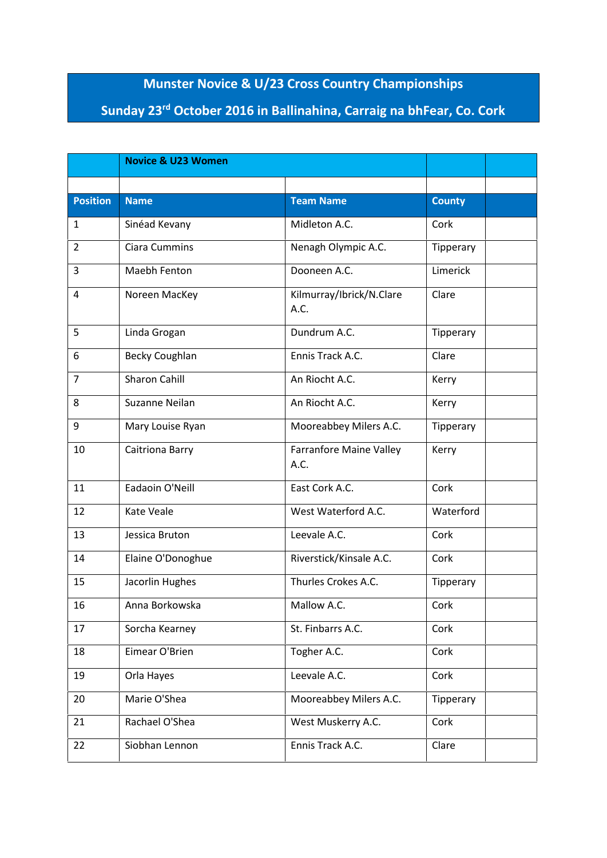## **Munster Novice & U/23 Cross Country Championships**

## **Sunday 23rd October 2016 in Ballinahina, Carraig na bhFear, Co. Cork**

|                 | <b>Novice &amp; U23 Women</b> |                                        |               |
|-----------------|-------------------------------|----------------------------------------|---------------|
|                 |                               |                                        |               |
| <b>Position</b> | <b>Name</b>                   | <b>Team Name</b>                       | <b>County</b> |
| 1               | Sinéad Kevany                 | Midleton A.C.                          | Cork          |
| $\overline{2}$  | <b>Ciara Cummins</b>          | Nenagh Olympic A.C.                    | Tipperary     |
| 3               | Maebh Fenton                  | Dooneen A.C.                           | Limerick      |
| 4               | Noreen MacKey                 | Kilmurray/Ibrick/N.Clare<br>A.C.       | Clare         |
| 5               | Linda Grogan                  | Dundrum A.C.                           | Tipperary     |
| 6               | <b>Becky Coughlan</b>         | Ennis Track A.C.                       | Clare         |
| $\overline{7}$  | <b>Sharon Cahill</b>          | An Riocht A.C.                         | Kerry         |
| 8               | Suzanne Neilan                | An Riocht A.C.                         | Kerry         |
| 9               | Mary Louise Ryan              | Mooreabbey Milers A.C.                 | Tipperary     |
| 10              | Caitriona Barry               | <b>Farranfore Maine Valley</b><br>A.C. | Kerry         |
| 11              | Eadaoin O'Neill               | East Cork A.C.                         | Cork          |
| 12              | Kate Veale                    | West Waterford A.C.                    | Waterford     |
| 13              | Jessica Bruton                | Leevale A.C.                           | Cork          |
| 14              | Elaine O'Donoghue             | Riverstick/Kinsale A.C.                | Cork          |
| 15              | Jacorlin Hughes               | Thurles Crokes A.C.                    | Tipperary     |
| 16              | Anna Borkowska                | Mallow A.C.                            | Cork          |
| 17              | Sorcha Kearney                | St. Finbarrs A.C.                      | Cork          |
| 18              | Eimear O'Brien                | Togher A.C.                            | Cork          |
| 19              | Orla Hayes                    | Leevale A.C.                           | Cork          |
| 20              | Marie O'Shea                  | Mooreabbey Milers A.C.                 | Tipperary     |
| 21              | Rachael O'Shea                | West Muskerry A.C.                     | Cork          |
| 22              | Siobhan Lennon                | Ennis Track A.C.                       | Clare         |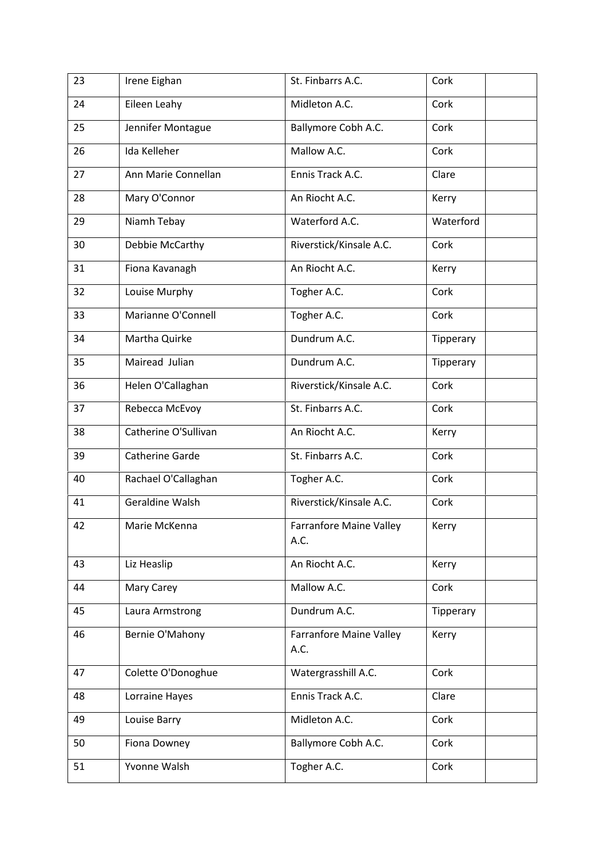| 23 | Irene Eighan         | St. Finbarrs A.C.                      | Cork      |
|----|----------------------|----------------------------------------|-----------|
| 24 | Eileen Leahy         | Midleton A.C.                          | Cork      |
| 25 | Jennifer Montague    | Ballymore Cobh A.C.                    | Cork      |
| 26 | Ida Kelleher         | Mallow A.C.                            | Cork      |
| 27 | Ann Marie Connellan  | Ennis Track A.C.                       | Clare     |
| 28 | Mary O'Connor        | An Riocht A.C.                         | Kerry     |
| 29 | Niamh Tebay          | Waterford A.C.                         | Waterford |
| 30 | Debbie McCarthy      | Riverstick/Kinsale A.C.                | Cork      |
| 31 | Fiona Kavanagh       | An Riocht A.C.                         | Kerry     |
| 32 | Louise Murphy        | Togher A.C.                            | Cork      |
| 33 | Marianne O'Connell   | Togher A.C.                            | Cork      |
| 34 | Martha Quirke        | Dundrum A.C.                           | Tipperary |
| 35 | Mairead Julian       | Dundrum A.C.                           | Tipperary |
| 36 | Helen O'Callaghan    | Riverstick/Kinsale A.C.                | Cork      |
| 37 | Rebecca McEvoy       | St. Finbarrs A.C.                      | Cork      |
| 38 | Catherine O'Sullivan | An Riocht A.C.                         | Kerry     |
| 39 | Catherine Garde      | St. Finbarrs A.C.                      | Cork      |
| 40 | Rachael O'Callaghan  | Togher A.C.                            | Cork      |
| 41 | Geraldine Walsh      | Riverstick/Kinsale A.C.                | Cork      |
| 42 | Marie McKenna        | <b>Farranfore Maine Valley</b><br>A.C. | Kerry     |
| 43 | Liz Heaslip          | An Riocht A.C.                         | Kerry     |
| 44 | Mary Carey           | Mallow A.C.                            | Cork      |
| 45 | Laura Armstrong      | Dundrum A.C.                           | Tipperary |
| 46 | Bernie O'Mahony      | <b>Farranfore Maine Valley</b><br>A.C. | Kerry     |
| 47 | Colette O'Donoghue   | Watergrasshill A.C.                    | Cork      |
| 48 | Lorraine Hayes       | Ennis Track A.C.                       | Clare     |
| 49 | Louise Barry         | Midleton A.C.                          | Cork      |
| 50 | Fiona Downey         | Ballymore Cobh A.C.                    | Cork      |
| 51 | Yvonne Walsh         | Togher A.C.                            | Cork      |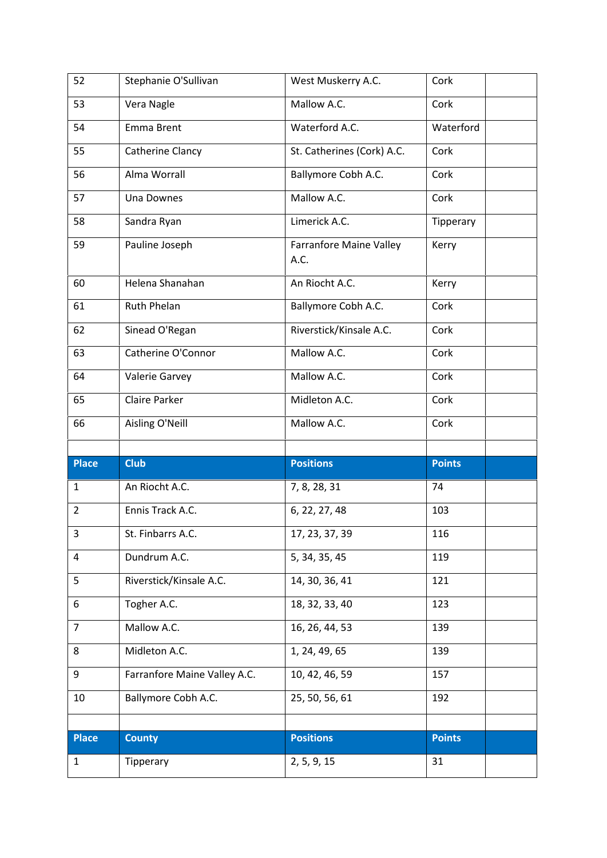| 52             | Stephanie O'Sullivan         | West Muskerry A.C.                     | Cork          |
|----------------|------------------------------|----------------------------------------|---------------|
| 53             | Vera Nagle                   | Mallow A.C.                            | Cork          |
| 54             | Emma Brent                   | Waterford A.C.                         | Waterford     |
| 55             | Catherine Clancy             | St. Catherines (Cork) A.C.             | Cork          |
| 56             | Alma Worrall                 | Ballymore Cobh A.C.                    | Cork          |
| 57             | Una Downes                   | Mallow A.C.                            | Cork          |
| 58             | Sandra Ryan                  | Limerick A.C.                          | Tipperary     |
| 59             | Pauline Joseph               | <b>Farranfore Maine Valley</b><br>A.C. | Kerry         |
| 60             | Helena Shanahan              | An Riocht A.C.                         | Kerry         |
| 61             | <b>Ruth Phelan</b>           | Ballymore Cobh A.C.                    | Cork          |
| 62             | Sinead O'Regan               | Riverstick/Kinsale A.C.                | Cork          |
| 63             | Catherine O'Connor           | Mallow A.C.                            | Cork          |
| 64             | Valerie Garvey               | Mallow A.C.                            | Cork          |
| 65             | Claire Parker                | Midleton A.C.                          | Cork          |
| 66             | Aisling O'Neill              | Mallow A.C.                            | Cork          |
|                |                              |                                        |               |
|                |                              |                                        |               |
| <b>Place</b>   | <b>Club</b>                  | <b>Positions</b>                       | <b>Points</b> |
| $\mathbf{1}$   | An Riocht A.C.               | 7, 8, 28, 31                           | 74            |
| $\overline{2}$ | Ennis Track A.C.             | 6, 22, 27, 48                          | 103           |
| 3              | St. Finbarrs A.C.            | 17, 23, 37, 39                         | 116           |
| $\overline{a}$ | Dundrum A.C.                 | 5, 34, 35, 45                          | 119           |
| 5              | Riverstick/Kinsale A.C.      | 14, 30, 36, 41                         | 121           |
| 6              | Togher A.C.                  | 18, 32, 33, 40                         | 123           |
| $\overline{7}$ | Mallow A.C.                  | 16, 26, 44, 53                         | 139           |
| 8              | Midleton A.C.                | 1, 24, 49, 65                          | 139           |
| 9              | Farranfore Maine Valley A.C. | 10, 42, 46, 59                         | 157           |
| 10             | Ballymore Cobh A.C.          | 25, 50, 56, 61                         | 192           |
|                |                              |                                        |               |
| <b>Place</b>   | <b>County</b>                | <b>Positions</b>                       | <b>Points</b> |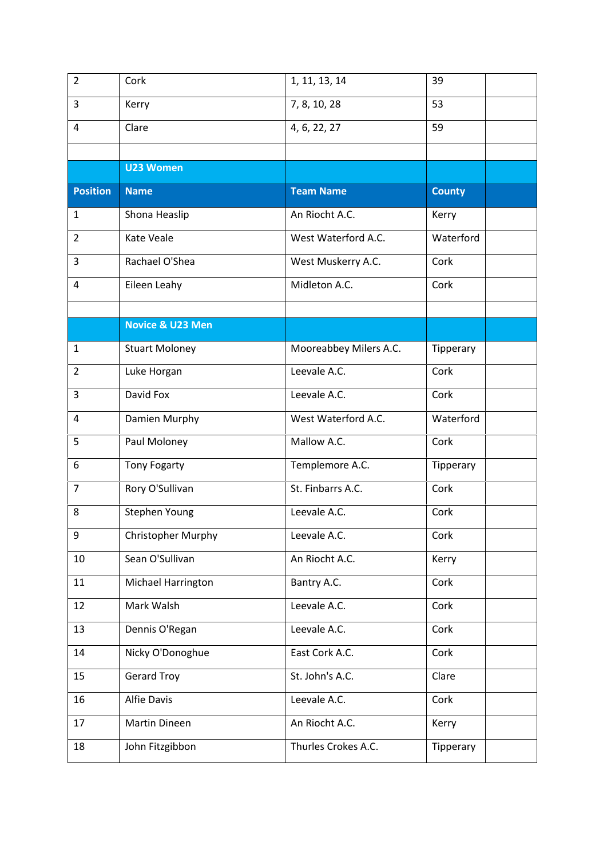| $\overline{2}$  | Cork                        | 1, 11, 13, 14          | 39            |
|-----------------|-----------------------------|------------------------|---------------|
| 3               | Kerry                       | 7, 8, 10, 28           | 53            |
| $\overline{4}$  | Clare                       | 4, 6, 22, 27           | 59            |
|                 |                             |                        |               |
|                 | <b>U23 Women</b>            |                        |               |
| <b>Position</b> | <b>Name</b>                 | <b>Team Name</b>       | <b>County</b> |
| 1               | Shona Heaslip               | An Riocht A.C.         | Kerry         |
| $\overline{2}$  | Kate Veale                  | West Waterford A.C.    | Waterford     |
| 3               | Rachael O'Shea              | West Muskerry A.C.     | Cork          |
| $\overline{4}$  | Eileen Leahy                | Midleton A.C.          | Cork          |
|                 |                             |                        |               |
|                 | <b>Novice &amp; U23 Men</b> |                        |               |
| 1               | <b>Stuart Moloney</b>       | Mooreabbey Milers A.C. | Tipperary     |
| $\overline{2}$  | Luke Horgan                 | Leevale A.C.           | Cork          |
| 3               | David Fox                   | Leevale A.C.           | Cork          |
| 4               | Damien Murphy               | West Waterford A.C.    | Waterford     |
| 5               | Paul Moloney                | Mallow A.C.            | Cork          |
| 6               | <b>Tony Fogarty</b>         | Templemore A.C.        | Tipperary     |
| $\overline{7}$  | Rory O'Sullivan             | St. Finbarrs A.C.      | Cork          |
| 8               | Stephen Young               | Leevale A.C.           | Cork          |
| 9               | Christopher Murphy          | Leevale A.C.           | Cork          |
| 10              | Sean O'Sullivan             | An Riocht A.C.         | Kerry         |
| 11              | Michael Harrington          | Bantry A.C.            | Cork          |
| 12              | Mark Walsh                  | Leevale A.C.           | Cork          |
| 13              | Dennis O'Regan              | Leevale A.C.           | Cork          |
| 14              | Nicky O'Donoghue            | East Cork A.C.         | Cork          |
| 15              | <b>Gerard Troy</b>          | St. John's A.C.        | Clare         |
| 16              | Alfie Davis                 | Leevale A.C.           | Cork          |
| 17              | Martin Dineen               | An Riocht A.C.         | Kerry         |
| 18              | John Fitzgibbon             | Thurles Crokes A.C.    | Tipperary     |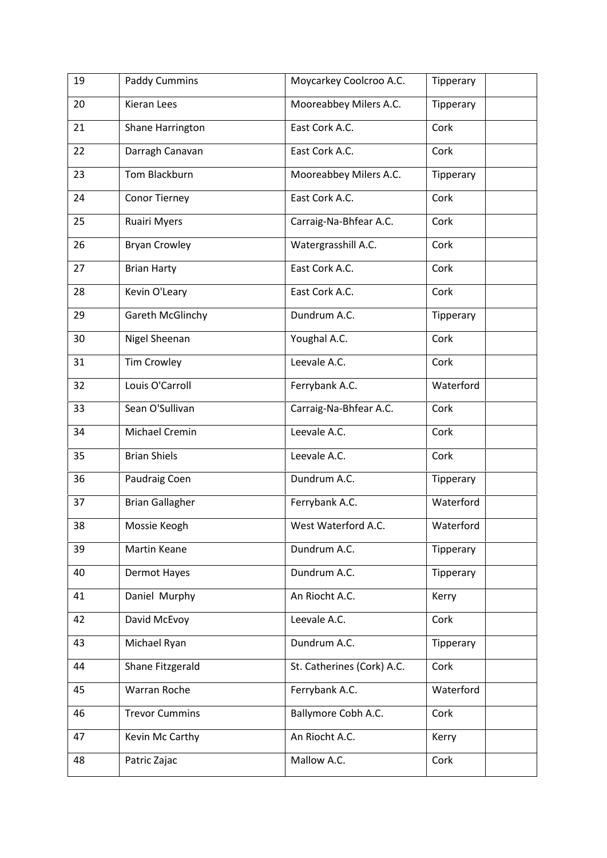| 19 | <b>Paddy Cummins</b>   | Moycarkey Coolcroo A.C.    | Tipperary |
|----|------------------------|----------------------------|-----------|
| 20 | Kieran Lees            | Mooreabbey Milers A.C.     | Tipperary |
| 21 | Shane Harrington       | East Cork A.C.             | Cork      |
| 22 | Darragh Canavan        | East Cork A.C.             | Cork      |
| 23 | Tom Blackburn          | Mooreabbey Milers A.C.     | Tipperary |
| 24 | Conor Tierney          | East Cork A.C.             | Cork      |
| 25 | <b>Ruairi Myers</b>    | Carraig-Na-Bhfear A.C.     | Cork      |
| 26 | <b>Bryan Crowley</b>   | Watergrasshill A.C.        | Cork      |
| 27 | <b>Brian Harty</b>     | East Cork A.C.             | Cork      |
| 28 | Kevin O'Leary          | East Cork A.C.             | Cork      |
| 29 | Gareth McGlinchy       | Dundrum A.C.               | Tipperary |
| 30 | Nigel Sheenan          | Youghal A.C.               | Cork      |
| 31 | <b>Tim Crowley</b>     | Leevale A.C.               | Cork      |
| 32 | Louis O'Carroll        | Ferrybank A.C.             | Waterford |
| 33 | Sean O'Sullivan        | Carraig-Na-Bhfear A.C.     | Cork      |
| 34 | Michael Cremin         | Leevale A.C.               | Cork      |
| 35 | <b>Brian Shiels</b>    | Leevale A.C.               | Cork      |
| 36 | Paudraig Coen          | Dundrum A.C.               | Tipperary |
| 37 | <b>Brian Gallagher</b> | Ferrybank A.C.             | Waterford |
| 38 | Mossie Keogh           | West Waterford A.C.        | Waterford |
| 39 | Martin Keane           | Dundrum A.C.               | Tipperary |
| 40 | Dermot Hayes           | Dundrum A.C.               | Tipperary |
| 41 | Daniel Murphy          | An Riocht A.C.             | Kerry     |
| 42 | David McEvoy           | Leevale A.C.               | Cork      |
| 43 | Michael Ryan           | Dundrum A.C.               | Tipperary |
| 44 | Shane Fitzgerald       | St. Catherines (Cork) A.C. | Cork      |
| 45 | Warran Roche           | Ferrybank A.C.             | Waterford |
| 46 | <b>Trevor Cummins</b>  | Ballymore Cobh A.C.        | Cork      |
| 47 | Kevin Mc Carthy        | An Riocht A.C.             | Kerry     |
| 48 | Patric Zajac           | Mallow A.C.                | Cork      |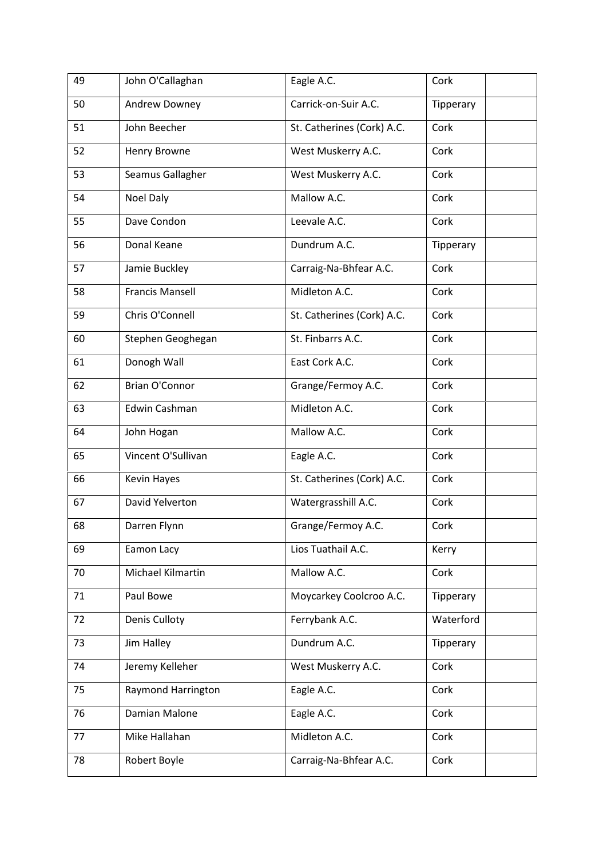| 49 | John O'Callaghan       | Eagle A.C.                 | Cork      |
|----|------------------------|----------------------------|-----------|
| 50 | Andrew Downey          | Carrick-on-Suir A.C.       | Tipperary |
| 51 | John Beecher           | St. Catherines (Cork) A.C. | Cork      |
| 52 | Henry Browne           | West Muskerry A.C.         | Cork      |
| 53 | Seamus Gallagher       | West Muskerry A.C.         | Cork      |
| 54 | Noel Daly              | Mallow A.C.                | Cork      |
| 55 | Dave Condon            | Leevale A.C.               | Cork      |
| 56 | Donal Keane            | Dundrum A.C.               | Tipperary |
| 57 | Jamie Buckley          | Carraig-Na-Bhfear A.C.     | Cork      |
| 58 | <b>Francis Mansell</b> | Midleton A.C.              | Cork      |
| 59 | Chris O'Connell        | St. Catherines (Cork) A.C. | Cork      |
| 60 | Stephen Geoghegan      | St. Finbarrs A.C.          | Cork      |
| 61 | Donogh Wall            | East Cork A.C.             | Cork      |
| 62 | <b>Brian O'Connor</b>  | Grange/Fermoy A.C.         | Cork      |
| 63 | Edwin Cashman          | Midleton A.C.              | Cork      |
| 64 | John Hogan             | Mallow A.C.                | Cork      |
| 65 | Vincent O'Sullivan     | Eagle A.C.                 | Cork      |
| 66 | <b>Kevin Hayes</b>     | St. Catherines (Cork) A.C. | Cork      |
| 67 | David Yelverton        | Watergrasshill A.C.        | Cork      |
| 68 | Darren Flynn           | Grange/Fermoy A.C.         | Cork      |
| 69 | Eamon Lacy             | Lios Tuathail A.C.         | Kerry     |
| 70 | Michael Kilmartin      | Mallow A.C.                | Cork      |
| 71 | Paul Bowe              | Moycarkey Coolcroo A.C.    | Tipperary |
| 72 | Denis Culloty          | Ferrybank A.C.             | Waterford |
| 73 | Jim Halley             | Dundrum A.C.               | Tipperary |
| 74 | Jeremy Kelleher        | West Muskerry A.C.         | Cork      |
| 75 | Raymond Harrington     | Eagle A.C.                 | Cork      |
| 76 | Damian Malone          | Eagle A.C.                 | Cork      |
| 77 | Mike Hallahan          | Midleton A.C.              | Cork      |
| 78 | Robert Boyle           | Carraig-Na-Bhfear A.C.     | Cork      |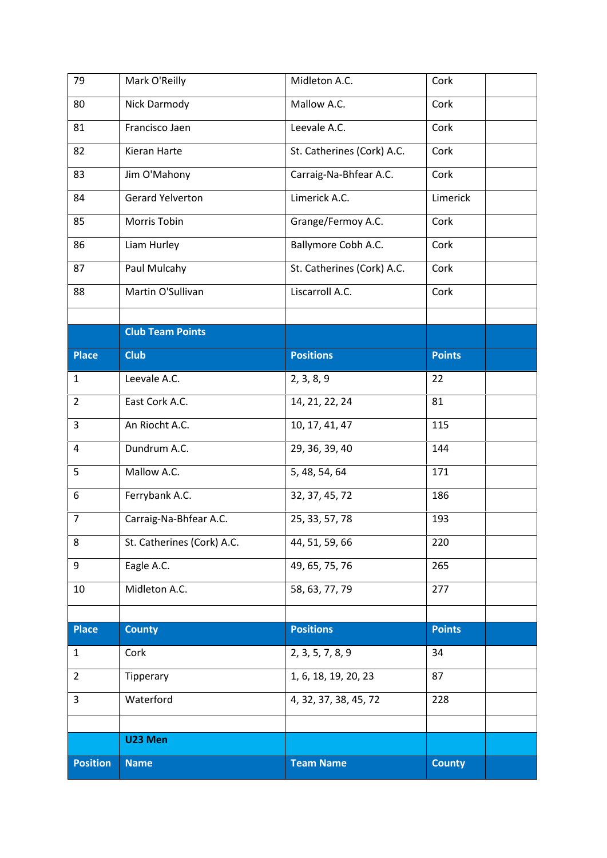| 79              | Mark O'Reilly              | Midleton A.C.              | Cork          |  |
|-----------------|----------------------------|----------------------------|---------------|--|
| 80              | Nick Darmody               | Mallow A.C.                | Cork          |  |
| 81              | Francisco Jaen             | Leevale A.C.               | Cork          |  |
| 82              | Kieran Harte               | St. Catherines (Cork) A.C. | Cork          |  |
| 83              | Jim O'Mahony               | Carraig-Na-Bhfear A.C.     | Cork          |  |
| 84              | <b>Gerard Yelverton</b>    | Limerick A.C.              | Limerick      |  |
| 85              | Morris Tobin               | Grange/Fermoy A.C.         | Cork          |  |
| 86              | Liam Hurley                | Ballymore Cobh A.C.        | Cork          |  |
| 87              | Paul Mulcahy               | St. Catherines (Cork) A.C. | Cork          |  |
| 88              | Martin O'Sullivan          | Liscarroll A.C.            | Cork          |  |
|                 |                            |                            |               |  |
|                 | <b>Club Team Points</b>    |                            |               |  |
| <b>Place</b>    | <b>Club</b>                | <b>Positions</b>           | <b>Points</b> |  |
| $\mathbf{1}$    | Leevale A.C.               | 2, 3, 8, 9                 | 22            |  |
| $\overline{2}$  | East Cork A.C.             | 14, 21, 22, 24             | 81            |  |
| 3               | An Riocht A.C.             | 10, 17, 41, 47             | 115           |  |
| 4               | Dundrum A.C.               | 29, 36, 39, 40             | 144           |  |
| 5               | Mallow A.C.                | 5, 48, 54, 64              | 171           |  |
| 6               | Ferrybank A.C.             | 32, 37, 45, 72             | 186           |  |
| $\overline{7}$  | Carraig-Na-Bhfear A.C.     | 25, 33, 57, 78             | 193           |  |
| 8               | St. Catherines (Cork) A.C. | 44, 51, 59, 66             | 220           |  |
| 9               | Eagle A.C.                 | 49, 65, 75, 76             | 265           |  |
| 10              | Midleton A.C.              | 58, 63, 77, 79             | 277           |  |
|                 |                            |                            |               |  |
| <b>Place</b>    | <b>County</b>              | <b>Positions</b>           | <b>Points</b> |  |
| 1               | Cork                       | 2, 3, 5, 7, 8, 9           | 34            |  |
| $\overline{2}$  | Tipperary                  | 1, 6, 18, 19, 20, 23       | 87            |  |
| 3               | Waterford                  | 4, 32, 37, 38, 45, 72      | 228           |  |
|                 |                            |                            |               |  |
|                 | U23 Men                    |                            |               |  |
| <b>Position</b> | <b>Name</b>                | <b>Team Name</b>           | <b>County</b> |  |